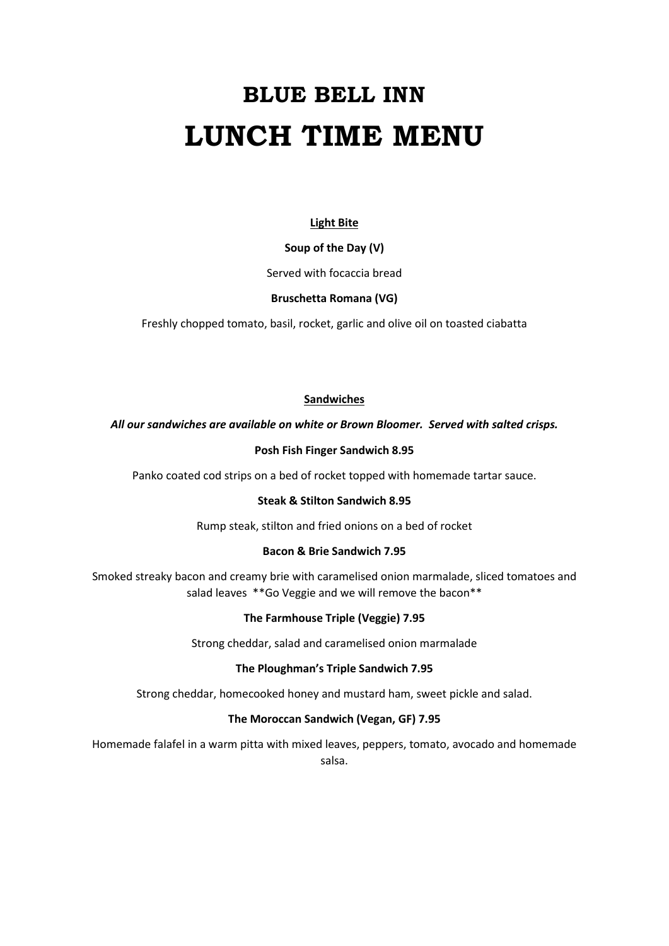# **BLUE BELL INN LUNCH TIME MENU**

# **Light Bite**

#### **Soup of the Day (V)**

Served with focaccia bread

#### **Bruschetta Romana (VG)**

Freshly chopped tomato, basil, rocket, garlic and olive oil on toasted ciabatta

#### **Sandwiches**

#### *All our sandwiches are available on white or Brown Bloomer. Served with salted crisps.*

#### **Posh Fish Finger Sandwich 8.95**

Panko coated cod strips on a bed of rocket topped with homemade tartar sauce.

#### **Steak & Stilton Sandwich 8.95**

Rump steak, stilton and fried onions on a bed of rocket

#### **Bacon & Brie Sandwich 7.95**

Smoked streaky bacon and creamy brie with caramelised onion marmalade, sliced tomatoes and salad leaves \*\*Go Veggie and we will remove the bacon\*\*

#### **The Farmhouse Triple (Veggie) 7.95**

Strong cheddar, salad and caramelised onion marmalade

#### **The Ploughman's Triple Sandwich 7.95**

Strong cheddar, homecooked honey and mustard ham, sweet pickle and salad.

## **The Moroccan Sandwich (Vegan, GF) 7.95**

Homemade falafel in a warm pitta with mixed leaves, peppers, tomato, avocado and homemade salsa.